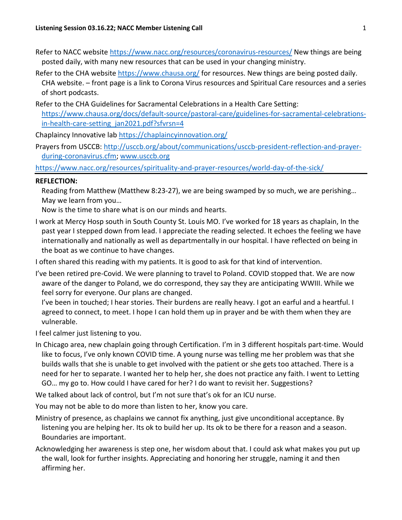- Refer to NACC website<https://www.nacc.org/resources/coronavirus-resources/> New things are being posted daily, with many new resources that can be used in your changing ministry.
- Refer to the CHA website<https://www.chausa.org/> for resources. New things are being posted daily. CHA website. – front page is a link to Corona Virus resources and Spiritual Care resources and a series of short podcasts.
- Refer to the CHA Guidelines for Sacramental Celebrations in a Health Care Setting: [https://www.chausa.org/docs/default-source/pastoral-care/guidelines-for-sacramental-celebrations](https://www.chausa.org/docs/default-source/pastoral-care/guidelines-for-sacramental-celebrations-in-health-care-setting_jan2021.pdf?sfvrsn=4)[in-health-care-setting\\_jan2021.pdf?sfvrsn=4](https://www.chausa.org/docs/default-source/pastoral-care/guidelines-for-sacramental-celebrations-in-health-care-setting_jan2021.pdf?sfvrsn=4)

Chaplaincy Innovative lab<https://chaplaincyinnovation.org/>

Prayers from USCCB: [http://usccb.org/about/communications/usccb-president-reflection-and-prayer](http://usccb.org/about/communications/usccb-president-reflection-and-prayer-during-coronavirus.cfm)[during-coronavirus.cfm;](http://usccb.org/about/communications/usccb-president-reflection-and-prayer-during-coronavirus.cfm) [www.usccb.org](http://www.usccb.org/)

<https://www.nacc.org/resources/spirituality-and-prayer-resources/world-day-of-the-sick/>

## **REFLECTION:**

Reading from Matthew (Matthew 8:23-27), we are being swamped by so much, we are perishing… May we learn from you…

Now is the time to share what is on our minds and hearts.

I work at Mercy Hosp south in South County St. Louis MO. I've worked for 18 years as chaplain, In the past year I stepped down from lead. I appreciate the reading selected. It echoes the feeling we have internationally and nationally as well as departmentally in our hospital. I have reflected on being in the boat as we continue to have changes.

I often shared this reading with my patients. It is good to ask for that kind of intervention.

I've been retired pre-Covid. We were planning to travel to Poland. COVID stopped that. We are now aware of the danger to Poland, we do correspond, they say they are anticipating WWIII. While we feel sorry for everyone. Our plans are changed.

I've been in touched; I hear stories. Their burdens are really heavy. I got an earful and a heartful. I agreed to connect, to meet. I hope I can hold them up in prayer and be with them when they are vulnerable.

I feel calmer just listening to you.

In Chicago area, new chaplain going through Certification. I'm in 3 different hospitals part-time. Would like to focus, I've only known COVID time. A young nurse was telling me her problem was that she builds walls that she is unable to get involved with the patient or she gets too attached. There is a need for her to separate. I wanted her to help her, she does not practice any faith. I went to Letting GO… my go to. How could I have cared for her? I do want to revisit her. Suggestions?

We talked about lack of control, but I'm not sure that's ok for an ICU nurse.

You may not be able to do more than listen to her, know you care.

Ministry of presence, as chaplains we cannot fix anything, just give unconditional acceptance. By listening you are helping her. Its ok to build her up. Its ok to be there for a reason and a season. Boundaries are important.

Acknowledging her awareness is step one, her wisdom about that. I could ask what makes you put up the wall, look for further insights. Appreciating and honoring her struggle, naming it and then affirming her.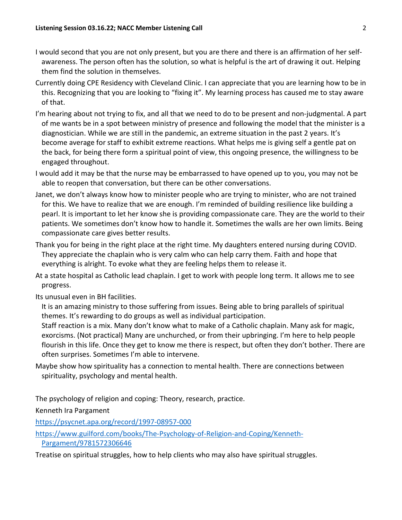- I would second that you are not only present, but you are there and there is an affirmation of her selfawareness. The person often has the solution, so what is helpful is the art of drawing it out. Helping them find the solution in themselves.
- Currently doing CPE Residency with Cleveland Clinic. I can appreciate that you are learning how to be in this. Recognizing that you are looking to "fixing it". My learning process has caused me to stay aware of that.
- I'm hearing about not trying to fix, and all that we need to do to be present and non-judgmental. A part of me wants be in a spot between ministry of presence and following the model that the minister is a diagnostician. While we are still in the pandemic, an extreme situation in the past 2 years. It's become average for staff to exhibit extreme reactions. What helps me is giving self a gentle pat on the back, for being there form a spiritual point of view, this ongoing presence, the willingness to be engaged throughout.
- I would add it may be that the nurse may be embarrassed to have opened up to you, you may not be able to reopen that conversation, but there can be other conversations.
- Janet, we don't always know how to minister people who are trying to minister, who are not trained for this. We have to realize that we are enough. I'm reminded of building resilience like building a pearl. It is important to let her know she is providing compassionate care. They are the world to their patients. We sometimes don't know how to handle it. Sometimes the walls are her own limits. Being compassionate care gives better results.
- Thank you for being in the right place at the right time. My daughters entered nursing during COVID. They appreciate the chaplain who is very calm who can help carry them. Faith and hope that everything is alright. To evoke what they are feeling helps them to release it.
- At a state hospital as Catholic lead chaplain. I get to work with people long term. It allows me to see progress.

Its unusual even in BH facilities.

It is an amazing ministry to those suffering from issues. Being able to bring parallels of spiritual themes. It's rewarding to do groups as well as individual participation.

Staff reaction is a mix. Many don't know what to make of a Catholic chaplain. Many ask for magic, exorcisms. (Not practical) Many are unchurched, or from their upbringing. I'm here to help people flourish in this life. Once they get to know me there is respect, but often they don't bother. There are often surprises. Sometimes I'm able to intervene.

Maybe show how spirituality has a connection to mental health. There are connections between spirituality, psychology and mental health.

The psychology of religion and coping: Theory, research, practice.

Kenneth Ira Pargament

<https://psycnet.apa.org/record/1997-08957-000>

[https://www.guilford.com/books/The-Psychology-of-Religion-and-Coping/Kenneth-](https://www.guilford.com/books/The-Psychology-of-Religion-and-Coping/Kenneth-Pargament/9781572306646)[Pargament/9781572306646](https://www.guilford.com/books/The-Psychology-of-Religion-and-Coping/Kenneth-Pargament/9781572306646)

Treatise on spiritual struggles, how to help clients who may also have spiritual struggles.